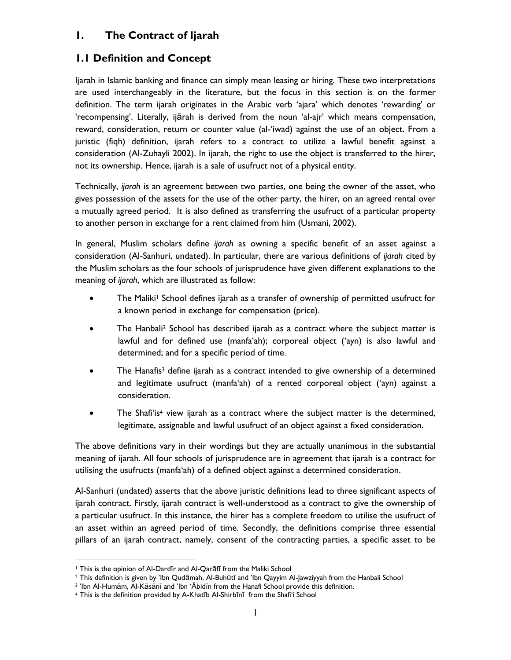## **1. The Contract of Ijarah**

## **1.1 Definition and Concept**

Ijarah in Islamic banking and finance can simply mean leasing or hiring. These two interpretations are used interchangeably in the literature, but the focus in this section is on the former definition. The term ijarah originates in the Arabic verb 'ajara' which denotes 'rewarding' or 'recompensing'. Literally, ijārah is derived from the noun 'al-ajr' which means compensation, reward, consideration, return or counter value (al-'iwad) against the use of an object. From a juristic (fiqh) definition, ijarah refers to a contract to utilize a lawful benefit against a consideration (Al-Zuhayli 2002). In ijarah, the right to use the object is transferred to the hirer, not its ownership. Hence, ijarah is a sale of usufruct not of a physical entity.

Technically, *ijarah* is an agreement between two parties, one being the owner of the asset, who gives possession of the assets for the use of the other party, the hirer, on an agreed rental over a mutually agreed period. It is also defined as transferring the usufruct of a particular property to another person in exchange for a rent claimed from him (Usmani, 2002).

In general, Muslim scholars define *ijarah* as owning a specific benefit of an asset against a consideration (Al-Sanhuri, undated). In particular, there are various definitions of *ijarah* cited by the Muslim scholars as the four schools of jurisprudence have given different explanations to the meaning of *ijarah*, which are illustrated as follow:

- The Maliki<sup>1</sup> School defines ijarah as a transfer of ownership of permitted usufruct for a known period in exchange for compensation (price).
- The Hanbali<sup>2</sup> School has described ijarah as a contract where the subject matter is lawful and for defined use (manfa'ah); corporeal object ('ayn) is also lawful and determined; and for a specific period of time.
- The Hanafis<sup>3</sup> define ijarah as a contract intended to give ownership of a determined and legitimate usufruct (manfa'ah) of a rented corporeal object ('ayn) against a consideration.
- The Shafi'is<sup>4</sup> view ijarah as a contract where the subject matter is the determined, legitimate, assignable and lawful usufruct of an object against a fixed consideration.

The above definitions vary in their wordings but they are actually unanimous in the substantial meaning of ijarah. All four schools of jurisprudence are in agreement that ijarah is a contract for utilising the usufructs (manfa'ah) of a defined object against a determined consideration.

Al-Sanhuri (undated) asserts that the above juristic definitions lead to three significant aspects of ijarah contract. Firstly, ijarah contract is well-understood as a contract to give the ownership of a particular usufruct. In this instance, the hirer has a complete freedom to utilise the usufruct of an asset within an agreed period of time. Secondly, the definitions comprise three essential pillars of an ijarah contract, namely, consent of the contracting parties, a specific asset to be

l

<sup>1</sup> This is the opinion of Al-Dardīr and Al-Qarāfī from the Maliki School

<sup>2</sup> This definition is given by 'Ibn Qudāmah, Al-Buhūtī and 'Ibn Qayyim Al-Jawziyyah from the Hanbali School

<sup>3</sup> 'Ibn Al-Humām, Al-Kāsānī and 'Ibn 'Ābidīn from the Hanafi School provide this definition.

<sup>4</sup> This is the definition provided by A-Khatīb Al-Shirbīnī from the Shafi'i School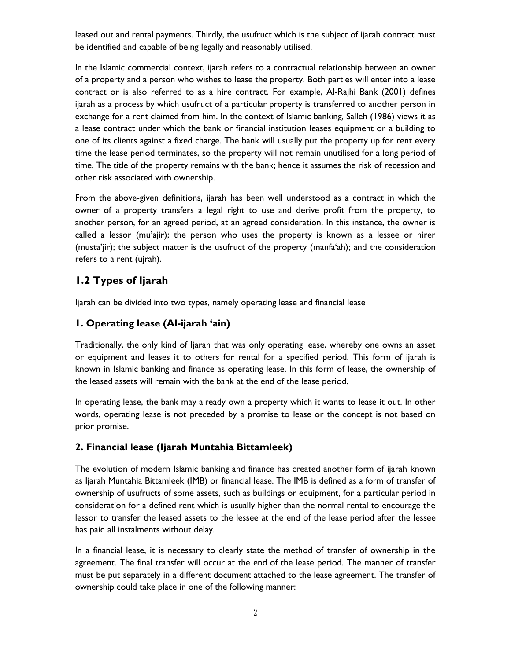leased out and rental payments. Thirdly, the usufruct which is the subject of ijarah contract must be identified and capable of being legally and reasonably utilised.

In the Islamic commercial context, ijarah refers to a contractual relationship between an owner of a property and a person who wishes to lease the property. Both parties will enter into a lease contract or is also referred to as a hire contract. For example, Al-Rajhi Bank (2001) defines ijarah as a process by which usufruct of a particular property is transferred to another person in exchange for a rent claimed from him. In the context of Islamic banking, Salleh (1986) views it as a lease contract under which the bank or financial institution leases equipment or a building to one of its clients against a fixed charge. The bank will usually put the property up for rent every time the lease period terminates, so the property will not remain unutilised for a long period of time. The title of the property remains with the bank; hence it assumes the risk of recession and other risk associated with ownership.

From the above-given definitions, ijarah has been well understood as a contract in which the owner of a property transfers a legal right to use and derive profit from the property, to another person, for an agreed period, at an agreed consideration. In this instance, the owner is called a lessor (mu'ajir); the person who uses the property is known as a lessee or hirer (musta'jir); the subject matter is the usufruct of the property (manfa'ah); and the consideration refers to a rent (ujrah).

# **1.2 Types of Ijarah**

Ijarah can be divided into two types, namely operating lease and financial lease

## **1. Operating lease (Al-ijarah 'ain)**

Traditionally, the only kind of Ijarah that was only operating lease, whereby one owns an asset or equipment and leases it to others for rental for a specified period. This form of ijarah is known in Islamic banking and finance as operating lease. In this form of lease, the ownership of the leased assets will remain with the bank at the end of the lease period.

In operating lease, the bank may already own a property which it wants to lease it out. In other words, operating lease is not preceded by a promise to lease or the concept is not based on prior promise.

## **2. Financial lease (Ijarah Muntahia Bittamleek)**

The evolution of modern Islamic banking and finance has created another form of ijarah known as Ijarah Muntahia Bittamleek (IMB) or financial lease. The IMB is defined as a form of transfer of ownership of usufructs of some assets, such as buildings or equipment, for a particular period in consideration for a defined rent which is usually higher than the normal rental to encourage the lessor to transfer the leased assets to the lessee at the end of the lease period after the lessee has paid all instalments without delay.

In a financial lease, it is necessary to clearly state the method of transfer of ownership in the agreement. The final transfer will occur at the end of the lease period. The manner of transfer must be put separately in a different document attached to the lease agreement. The transfer of ownership could take place in one of the following manner: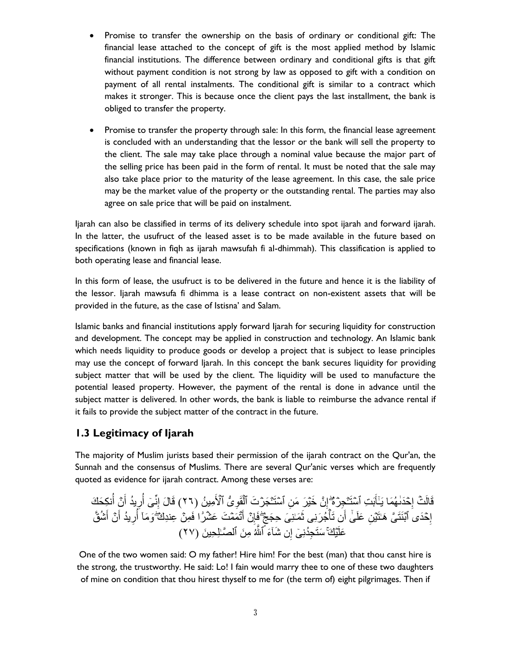- Promise to transfer the ownership on the basis of ordinary or conditional gift: The financial lease attached to the concept of gift is the most applied method by Islamic financial institutions. The difference between ordinary and conditional gifts is that gift without payment condition is not strong by law as opposed to gift with a condition on payment of all rental instalments. The conditional gift is similar to a contract which makes it stronger. This is because once the client pays the last installment, the bank is obliged to transfer the property.
- Promise to transfer the property through sale: In this form, the financial lease agreement is concluded with an understanding that the lessor or the bank will sell the property to the client. The sale may take place through a nominal value because the major part of the selling price has been paid in the form of rental. It must be noted that the sale may also take place prior to the maturity of the lease agreement. In this case, the sale price may be the market value of the property or the outstanding rental. The parties may also agree on sale price that will be paid on instalment.

Ijarah can also be classified in terms of its delivery schedule into spot ijarah and forward ijarah. In the latter, the usufruct of the leased asset is to be made available in the future based on specifications (known in fiqh as ijarah mawsufah fi al-dhimmah). This classification is applied to both operating lease and financial lease.

In this form of lease, the usufruct is to be delivered in the future and hence it is the liability of the lessor. Ijarah mawsufa fi dhimma is a lease contract on non-existent assets that will be provided in the future, as the case of Istisna' and Salam.

Islamic banks and financial institutions apply forward Ijarah for securing liquidity for construction and development. The concept may be applied in construction and technology. An Islamic bank which needs liquidity to produce goods or develop a project that is subject to lease principles may use the concept of forward ljarah. In this concept the bank secures liquidity for providing subject matter that will be used by the client. The liquidity will be used to manufacture the potential leased property. However, the payment of the rental is done in advance until the subject matter is delivered. In other words, the bank is liable to reimburse the advance rental if it fails to provide the subject matter of the contract in the future.

## **1.3 Legitimacy of Ijarah**

The majority of Muslim jurists based their permission of the ijarah contract on the Qur'an, the Sunnah and the consensus of Muslims. There are several Qur'anic verses which are frequently quoted as evidence for ijarah contract. Among these verses are:

ِجۡرهُ ۡ َب ِت ٱۡسَتـ َ ۡحَدٰٮ ُهَما َيٰـٰٓأ ِ َقال ۖ َ ۡت إ ُّ ٱۡ ۡ َ ِ ََِ ۡ َجۡر َت ٱل ۡ ِ َّ ٱۡسَتـ َّ ََۡي َر َم إ ِمي ُ َّ )٦٢( ن ِك َح َك ِ ُ ۡ َّ أ َ يُد أ ِ ر ُ ٰٓى أ نِّ ِ َقا َل إ َمٰـِن َى ِح َجج َ ُج َرِنى ث ۡ َ َّ َتأ أ ِ َّ َعلَ ٰىٰٓ ۡحَد ُّ ٱۡبَنَت ى َهٰـَتۡي إ ۖ ََ ِمۡ َّ ِعنِد َك ِ َمۡم َت َعۡۡ ار ۡ ت َۡ َّ أ ِ َّ ُۡ ۖ ََِ َ ۡ َّ أ َ يُد أ ِ ر ُ َِ َمآٰ أ َّلُ َعل ۚ ِم َ َّ ٱل َّٰـلِ ِح َۡي َك ََ ٱ ِ َّ َۡآٰ ِجُدنِ ٰٓى إ َس ي َ َّ )٦٢( َت

One of the two women said: O my father! Hire him! For the best (man) that thou canst hire is the strong, the trustworthy. He said: Lo! I fain would marry thee to one of these two daughters of mine on condition that thou hirest thyself to me for (the term of) eight pilgrimages. Then if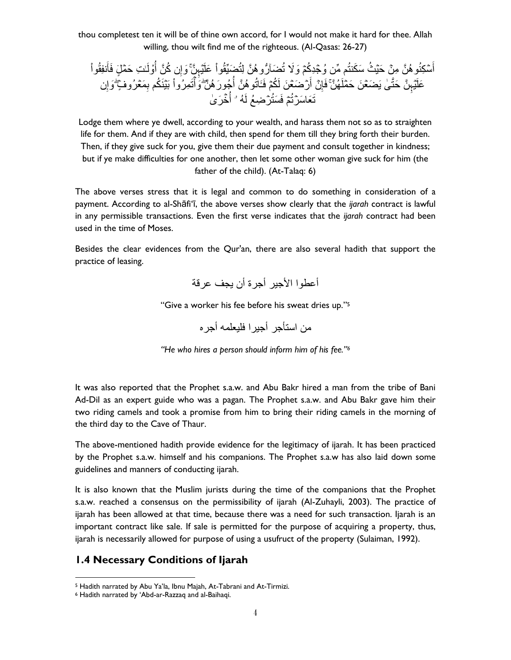thou completest ten it will be of thine own accord, for I would not make it hard for thee. Allah willing, thou wilt find me of the righteous. (Al-Qasas: 26-27)

ُث َس َكنتُم ِّم َّ ُِۡجِدُكۡم ََِل ۡس ِكنُِ ُه َّ ِمۡ َّ َحۡي أ َّ َ ِ َعلَۡيِ ََِّيَُِ ََآٰ رِ ُه َّ لِتُ ت ۚ ُ نَُِِِ َ ٰـ ِت َحۡم ل ََأ ِلَ ُ ِ َّ ُك َّ أ َِإ ُه َّ َّ َحت ٰى َي ََۡع َ َّ َحۡملَ ِ َعل ۚ ُجِ َر ُه َّ َۡيِ ُ َاتُِ ُه َّ أ ۡر ََۡع َ َّ لَ ُكۡم ََـ َ ۡ َّ أ ِ َمۡع ُرِ ٍ۬ ََِ ۖ ِ َبۡيَن ُكم ب َت ِم ُرِ ۡ َِأ ۖ َّ ِ َِإ ُه َت َعا َسۡرتُۡم ََ َستُۡر َُۡ َر ٰ ُّ َِ ُع لَ ۥۤ أ

Lodge them where ye dwell, according to your wealth, and harass them not so as to straighten life for them. And if they are with child, then spend for them till they bring forth their burden. Then, if they give suck for you, give them their due payment and consult together in kindness; but if ye make difficulties for one another, then let some other woman give suck for him (the father of the child). (At-Talaq: 6)

The above verses stress that it is legal and common to do something in consideration of a payment. According to al-Shāfi'ī, the above verses show clearly that the *ijarah* contract is lawful in any permissible transactions. Even the first verse indicates that the *ijarah* contract had been used in the time of Moses.

Besides the clear evidences from the Qur'an, there are also several hadith that support the practice of leasing.

```
أعطوا الأجير أجرة أن يجف عرقة
```
"Give a worker his fee before his sweat dries up."<sup>5</sup>

من استأجر أحيرا فليعلمه أجره

*"He who hires a person should inform him of his fee."<sup>6</sup>*

It was also reported that the Prophet s.a.w. and Abu Bakr hired a man from the tribe of Bani Ad-Dil as an expert guide who was a pagan. The Prophet s.a.w. and Abu Bakr gave him their two riding camels and took a promise from him to bring their riding camels in the morning of the third day to the Cave of Thaur.

The above-mentioned hadith provide evidence for the legitimacy of ijarah. It has been practiced by the Prophet s.a.w. himself and his companions. The Prophet s.a.w has also laid down some guidelines and manners of conducting ijarah.

It is also known that the Muslim jurists during the time of the companions that the Prophet s.a.w. reached a consensus on the permissibility of ijarah (Al-Zuhayli, 2003). The practice of ijarah has been allowed at that time, because there was a need for such transaction. Ijarah is an important contract like sale. If sale is permitted for the purpose of acquiring a property, thus, ijarah is necessarily allowed for purpose of using a usufruct of the property (Sulaiman, 1992).

# **1.4 Necessary Conditions of Ijarah**

l <sup>5</sup> Hadith narrated by Abu Ya'la, Ibnu Majah, At-Tabrani and At-Tirmizi.

<sup>6</sup> Hadith narrated by 'Abd-ar-Razzaq and al-Baihaqi.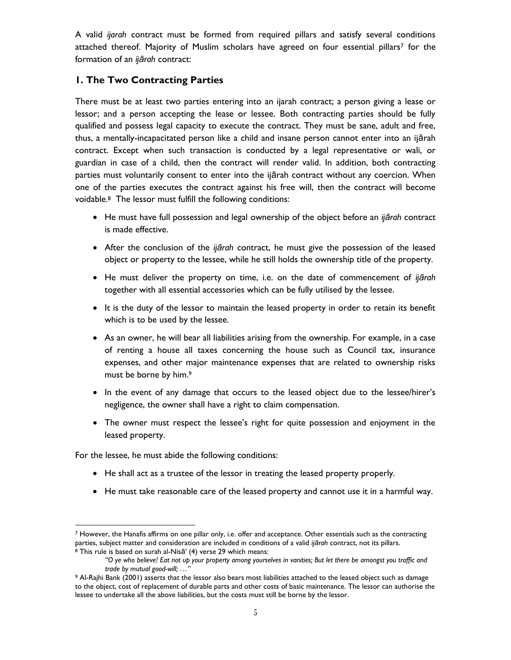A valid *ijarah* contract must be formed from required pillars and satisfy several conditions attached thereof. Majority of Muslim scholars have agreed on four essential pillars<sup>7</sup> for the formation of an *ijārah* contract:

## **1. The Two Contracting Parties**

There must be at least two parties entering into an ijarah contract; a person giving a lease or lessor; and a person accepting the lease or lessee. Both contracting parties should be fully qualified and possess legal capacity to execute the contract. They must be sane, adult and free, thus, a mentally-incapacitated person like a child and insane person cannot enter into an ijārah contract. Except when such transaction is conducted by a legal representative or wali, or guardian in case of a child, then the contract will render valid. In addition, both contracting parties must voluntarily consent to enter into the ijārah contract without any coercion. When one of the parties executes the contract against his free will, then the contract will become voidable.8 The lessor must fulfill the following conditions:

- He must have full possession and legal ownership of the object before an *ijārah* contract is made effective.
- After the conclusion of the *ijārah* contract, he must give the possession of the leased object or property to the lessee, while he still holds the ownership title of the property.
- He must deliver the property on time, i.e. on the date of commencement of *ijārah* together with all essential accessories which can be fully utilised by the lessee.
- It is the duty of the lessor to maintain the leased property in order to retain its benefit which is to be used by the lessee.
- As an owner, he will bear all liabilities arising from the ownership. For example, in a case of renting a house all taxes concerning the house such as Council tax, insurance expenses, and other major maintenance expenses that are related to ownership risks must be borne by him.<sup>9</sup>
- In the event of any damage that occurs to the leased object due to the lessee/hirer's negligence, the owner shall have a right to claim compensation.
- The owner must respect the lessee's right for quite possession and enjoyment in the leased property.

For the lessee, he must abide the following conditions:

l

- He shall act as a trustee of the lessor in treating the leased property properly.
- He must take reasonable care of the leased property and cannot use it in a harmful way.

<sup>7</sup> However, the Hanafis affirms on one pillar only, i.e. offer and acceptance. Other essentials such as the contracting parties, subject matter and consideration are included in conditions of a valid *ijārah* contract, not its pillars. <sup>8</sup> This rule is based on surah al-Nisā' (4) verse 29 which means:

*<sup>&</sup>quot;O ye who believe! Eat not up your property among yourselves in vanities; But let there be amongst you traffic and trade by mutual good-will; …"*

<sup>9</sup> Al-Rajhi Bank (2001) asserts that the lessor also bears most liabilities attached to the leased object such as damage to the object, cost of replacement of durable parts and other costs of basic maintenance. The lessor can authorise the lessee to undertake all the above liabilities, but the costs must still be borne by the lessor.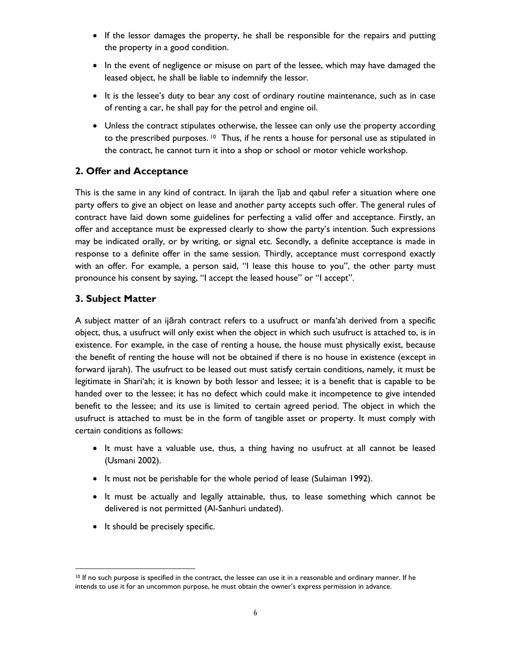- If the lessor damages the property, he shall be responsible for the repairs and putting the property in a good condition.
- In the event of negligence or misuse on part of the lessee, which may have damaged the leased object, he shall be liable to indemnify the lessor.
- It is the lessee's duty to bear any cost of ordinary routine maintenance, such as in case of renting a car, he shall pay for the petrol and engine oil.
- Unless the contract stipulates otherwise, the lessee can only use the property according to the prescribed purposes.  $10$  Thus, if he rents a house for personal use as stipulated in the contract, he cannot turn it into a shop or school or motor vehicle workshop.

## **2. Offer and Acceptance**

This is the same in any kind of contract. In ijarah the ījab and qabul refer a situation where one party offers to give an object on lease and another party accepts such offer. The general rules of contract have laid down some guidelines for perfecting a valid offer and acceptance. Firstly, an offer and acceptance must be expressed clearly to show the party's intention. Such expressions may be indicated orally, or by writing, or signal etc. Secondly, a definite acceptance is made in response to a definite offer in the same session. Thirdly, acceptance must correspond exactly with an offer. For example, a person said, "I lease this house to you", the other party must pronounce his consent by saying, "I accept the leased house" or "I accept".

## **3. Subject Matter**

A subject matter of an ijārah contract refers to a usufruct or manfa'ah derived from a specific object, thus, a usufruct will only exist when the object in which such usufruct is attached to, is in existence. For example, in the case of renting a house, the house must physically exist, because the benefit of renting the house will not be obtained if there is no house in existence (except in forward ijarah). The usufruct to be leased out must satisfy certain conditions, namely, it must be legitimate in Shari'ah; it is known by both lessor and lessee; it is a benefit that is capable to be handed over to the lessee; it has no defect which could make it incompetence to give intended benefit to the lessee; and its use is limited to certain agreed period. The object in which the usufruct is attached to must be in the form of tangible asset or property. It must comply with certain conditions as follows:

- It must have a valuable use, thus, a thing having no usufruct at all cannot be leased (Usmani 2002).
- It must not be perishable for the whole period of lease (Sulaiman 1992).
- It must be actually and legally attainable, thus, to lease something which cannot be delivered is not permitted (Al-Sanhuri undated).
- It should be precisely specific.

l <sup>10</sup> If no such purpose is specified in the contract, the lessee can use it in a reasonable and ordinary manner. If he intends to use it for an uncommon purpose, he must obtain the owner's express permission in advance.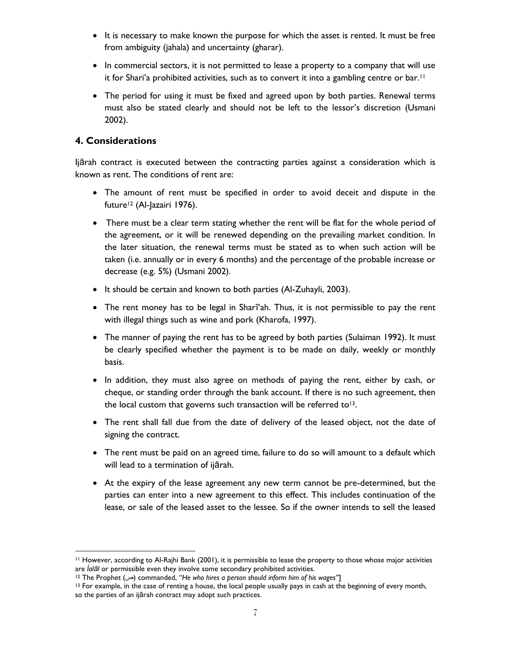- It is necessary to make known the purpose for which the asset is rented. It must be free from ambiguity (jahala) and uncertainty (gharar).
- In commercial sectors, it is not permitted to lease a property to a company that will use it for Shari'a prohibited activities, such as to convert it into a gambling centre or bar.<sup>11</sup>
- The period for using it must be fixed and agreed upon by both parties. Renewal terms must also be stated clearly and should not be left to the lessor's discretion (Usmani 2002).

## **4. Considerations**

l

Ijārah contract is executed between the contracting parties against a consideration which is known as rent. The conditions of rent are:

- The amount of rent must be specified in order to avoid deceit and dispute in the future<sup>12</sup> (Al-Jazairi 1976).
- There must be a clear term stating whether the rent will be flat for the whole period of the agreement, or it will be renewed depending on the prevailing market condition. In the later situation, the renewal terms must be stated as to when such action will be taken (i.e. annually or in every 6 months) and the percentage of the probable increase or decrease (e.g. 5%) (Usmani 2002).
- It should be certain and known to both parties (Al-Zuhayli, 2003).
- The rent money has to be legal in Shari'ah. Thus, it is not permissible to pay the rent with illegal things such as wine and pork (Kharofa, 1997).
- The manner of paying the rent has to be agreed by both parties (Sulaiman 1992). It must be clearly specified whether the payment is to be made on daily, weekly or monthly basis.
- In addition, they must also agree on methods of paying the rent, either by cash, or cheque, or standing order through the bank account. If there is no such agreement, then the local custom that governs such transaction will be referred to<sup>13</sup>.
- The rent shall fall due from the date of delivery of the leased object, not the date of signing the contract.
- The rent must be paid on an agreed time, failure to do so will amount to a default which will lead to a termination of ijārah.
- At the expiry of the lease agreement any new term cannot be pre-determined, but the parties can enter into a new agreement to this effect. This includes continuation of the lease, or sale of the leased asset to the lessee. So if the owner intends to sell the leased

<sup>11</sup> However, according to Al-Rajhi Bank (2001), it is permissible to lease the property to those whose major activities are *Íalāl* or permissible even they involve some secondary prohibited activities.

<sup>12</sup> The Prophet (ص (commanded, *"He who hires a person should inform him of his wages"*]

<sup>&</sup>lt;sup>13</sup> For example, in the case of renting a house, the local people usually pays in cash at the beginning of every month, so the parties of an ijārah contract may adopt such practices.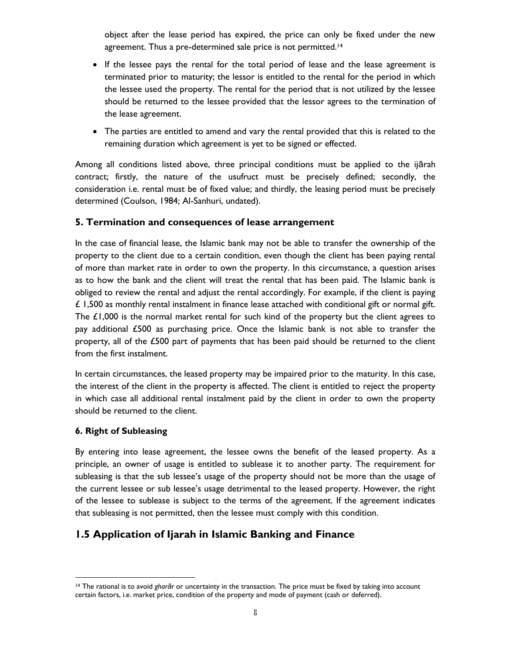object after the lease period has expired, the price can only be fixed under the new agreement. Thus a pre-determined sale price is not permitted.<sup>14</sup>

- If the lessee pays the rental for the total period of lease and the lease agreement is terminated prior to maturity; the lessor is entitled to the rental for the period in which the lessee used the property. The rental for the period that is not utilized by the lessee should be returned to the lessee provided that the lessor agrees to the termination of the lease agreement.
- The parties are entitled to amend and vary the rental provided that this is related to the remaining duration which agreement is yet to be signed or effected.

Among all conditions listed above, three principal conditions must be applied to the ijārah contract; firstly, the nature of the usufruct must be precisely defined; secondly, the consideration i.e. rental must be of fixed value; and thirdly, the leasing period must be precisely determined (Coulson, 1984; Al-Sanhuri, undated).

#### **5. Termination and consequences of lease arrangement**

In the case of financial lease, the Islamic bank may not be able to transfer the ownership of the property to the client due to a certain condition, even though the client has been paying rental of more than market rate in order to own the property. In this circumstance, a question arises as to how the bank and the client will treat the rental that has been paid. The Islamic bank is obliged to review the rental and adjust the rental accordingly. For example, if the client is paying  $\angle$  1,500 as monthly rental instalment in finance lease attached with conditional gift or normal gift. The  $£1,000$  is the normal market rental for such kind of the property but the client agrees to pay additional £500 as purchasing price. Once the Islamic bank is not able to transfer the property, all of the £500 part of payments that has been paid should be returned to the client from the first instalment.

In certain circumstances, the leased property may be impaired prior to the maturity. In this case, the interest of the client in the property is affected. The client is entitled to reject the property in which case all additional rental instalment paid by the client in order to own the property should be returned to the client.

#### **6. Right of Subleasing**

By entering into lease agreement, the lessee owns the benefit of the leased property. As a principle, an owner of usage is entitled to sublease it to another party. The requirement for subleasing is that the sub lessee's usage of the property should not be more than the usage of the current lessee or sub lessee's usage detrimental to the leased property. However, the right of the lessee to sublease is subject to the terms of the agreement. If the agreement indicates that subleasing is not permitted, then the lessee must comply with this condition.

# **1.5 Application of Ijarah in Islamic Banking and Finance**

l <sup>14</sup> The rational is to avoid *gharār* or uncertainty in the transaction. The price must be fixed by taking into account certain factors, i.e. market price, condition of the property and mode of payment (cash or deferred).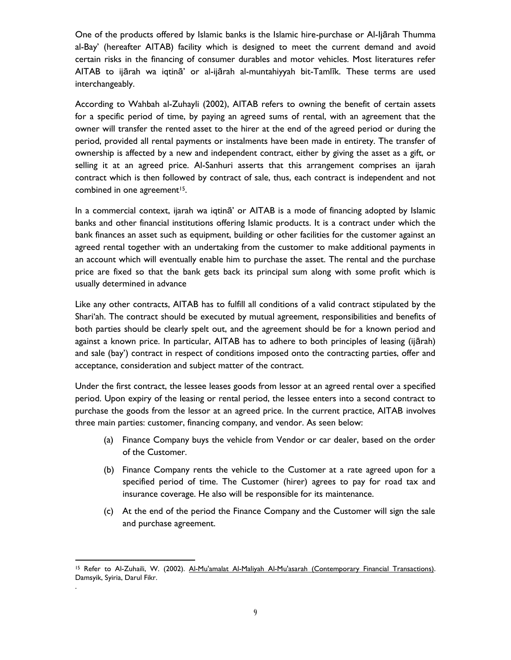One of the products offered by Islamic banks is the Islamic hire-purchase or Al-Ijārah Thumma al-Bay' (hereafter AITAB) facility which is designed to meet the current demand and avoid certain risks in the financing of consumer durables and motor vehicles. Most literatures refer AITAB to ijārah wa iqtinā' or al-ijārah al-muntahiyyah bit-Tamlīk. These terms are used interchangeably.

According to Wahbah al-Zuhayli (2002), AITAB refers to owning the benefit of certain assets for a specific period of time, by paying an agreed sums of rental, with an agreement that the owner will transfer the rented asset to the hirer at the end of the agreed period or during the period, provided all rental payments or instalments have been made in entirety. The transfer of ownership is affected by a new and independent contract, either by giving the asset as a gift, or selling it at an agreed price. Al-Sanhuri asserts that this arrangement comprises an ijarah contract which is then followed by contract of sale, thus, each contract is independent and not combined in one agreement<sup>15</sup>.

In a commercial context, ijarah wa iqtinā' or AITAB is a mode of financing adopted by Islamic banks and other financial institutions offering Islamic products. It is a contract under which the bank finances an asset such as equipment, building or other facilities for the customer against an agreed rental together with an undertaking from the customer to make additional payments in an account which will eventually enable him to purchase the asset. The rental and the purchase price are fixed so that the bank gets back its principal sum along with some profit which is usually determined in advance

Like any other contracts, AITAB has to fulfill all conditions of a valid contract stipulated by the Shari'ah. The contract should be executed by mutual agreement, responsibilities and benefits of both parties should be clearly spelt out, and the agreement should be for a known period and against a known price. In particular, AITAB has to adhere to both principles of leasing (ijārah) and sale (bay') contract in respect of conditions imposed onto the contracting parties, offer and acceptance, consideration and subject matter of the contract.

Under the first contract, the lessee leases goods from lessor at an agreed rental over a specified period. Upon expiry of the leasing or rental period, the lessee enters into a second contract to purchase the goods from the lessor at an agreed price. In the current practice, AITAB involves three main parties: customer, financing company, and vendor. As seen below:

- (a) Finance Company buys the vehicle from Vendor or car dealer, based on the order of the Customer.
- (b) Finance Company rents the vehicle to the Customer at a rate agreed upon for a specified period of time. The Customer (hirer) agrees to pay for road tax and insurance coverage. He also will be responsible for its maintenance.
- (c) At the end of the period the Finance Company and the Customer will sign the sale and purchase agreement.

l <sup>15</sup> Refer to Al-Zuhaili, W. (2002). Al-Mu'amalat Al-Maliyah Al-Mu'asarah (Contemporary Financial Transactions). Damsyik, Syiria, Darul Fikr. .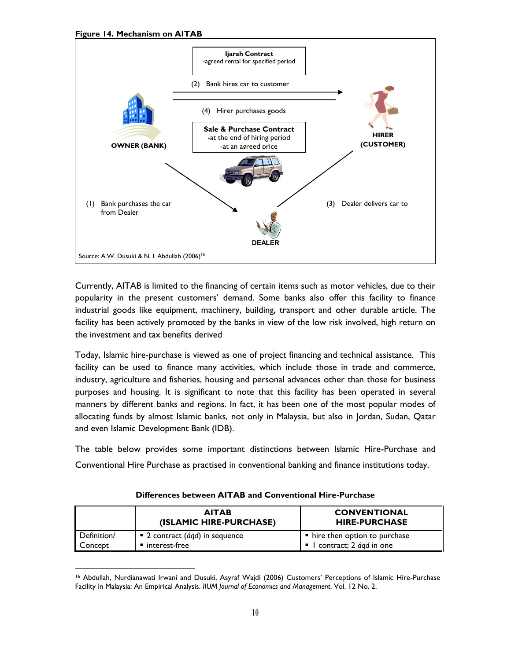**Figure 14. Mechanism on AITAB**



Currently, AITAB is limited to the financing of certain items such as motor vehicles, due to their popularity in the present customers' demand. Some banks also offer this facility to finance industrial goods like equipment, machinery, building, transport and other durable article. The facility has been actively promoted by the banks in view of the low risk involved, high return on the investment and tax benefits derived

Today, Islamic hire-purchase is viewed as one of project financing and technical assistance. This facility can be used to finance many activities, which include those in trade and commerce, industry, agriculture and fisheries, housing and personal advances other than those for business purposes and housing. It is significant to note that this facility has been operated in several manners by different banks and regions. In fact, it has been one of the most popular modes of allocating funds by almost Islamic banks, not only in Malaysia, but also in Jordan, Sudan, Qatar and even Islamic Development Bank (IDB).

The table below provides some important distinctions between Islamic Hire-Purchase and Conventional Hire Purchase as practised in conventional banking and finance institutions today.

|             | <b>AITAB</b><br>(ISLAMIC HIRE-PURCHASE)              | <b>CONVENTIONAL</b><br><b>HIRE-PURCHASE</b> |
|-------------|------------------------------------------------------|---------------------------------------------|
| Definition/ | $\blacksquare$ 2 contract ( <i>áqd</i> ) in sequence | $\blacksquare$ hire then option to purchase |
| Concept     | interest-free                                        | I contract; 2 <i>ágd</i> in one             |

**Differences between AITAB and Conventional Hire-Purchase**

l <sup>16</sup> Abdullah, Nurdianawati Irwani and Dusuki, Asyraf Wajdi (2006) Customers' Perceptions of Islamic Hire-Purchase Facility in Malaysia: An Empirical Analysis. *IIUM Journal of Economics and Management*. Vol. 12 No. 2.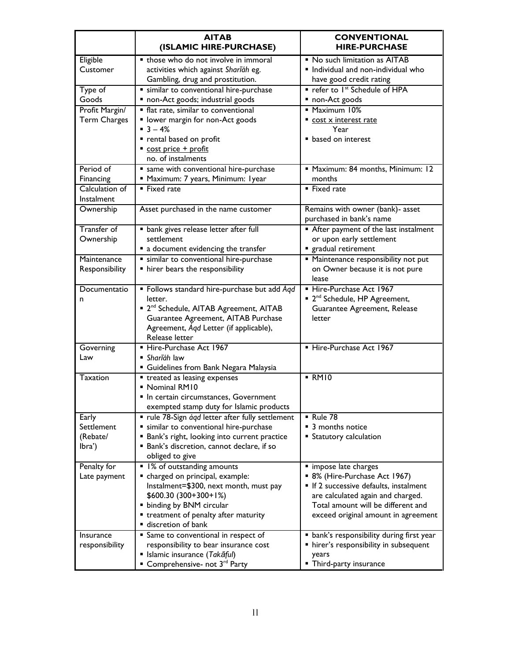|                                           | <b>AITAB</b><br>(ISLAMIC HIRE-PURCHASE)                                                                                                                                                                                                          | <b>CONVENTIONAL</b><br><b>HIRE-PURCHASE</b>                                                                                                                                                                      |
|-------------------------------------------|--------------------------------------------------------------------------------------------------------------------------------------------------------------------------------------------------------------------------------------------------|------------------------------------------------------------------------------------------------------------------------------------------------------------------------------------------------------------------|
| Eligible<br>Customer                      | those who do not involve in immoral<br>activities which against Sharláh eg.<br>Gambling, drug and prostitution.                                                                                                                                  | • No such limitation as AITAB<br>Individual and non-individual who<br>have good credit rating                                                                                                                    |
| Type of<br>Goods                          | " similar to conventional hire-purchase<br>non-Act goods; industrial goods                                                                                                                                                                       | " refer to Ist Schedule of HPA<br>■ non-Act goods                                                                                                                                                                |
| Profit Margin/<br>Term Charges            | • flat rate, similar to conventional<br>" lower margin for non-Act goods<br>$-3 - 4%$<br>rental based on profit                                                                                                                                  | • Maximum 10%<br>cost x interest rate<br>Year<br><b>• based on interest</b>                                                                                                                                      |
| Period of                                 | cost price + profit<br>no. of instalments                                                                                                                                                                                                        | " Maximum: 84 months, Minimum: 12                                                                                                                                                                                |
| Financing<br>Calculation of               | same with conventional hire-purchase<br>" Maximum: 7 years, Minimum: Iyear<br>• Fixed rate                                                                                                                                                       | months<br>■ Fixed rate                                                                                                                                                                                           |
| Instalment                                |                                                                                                                                                                                                                                                  |                                                                                                                                                                                                                  |
| Ownership                                 | Asset purchased in the name customer                                                                                                                                                                                                             | Remains with owner (bank)- asset<br>purchased in bank's name                                                                                                                                                     |
| Transfer of<br>Ownership                  | · bank gives release letter after full<br>settlement<br>a document evidencing the transfer                                                                                                                                                       | After payment of the last instalment<br>or upon early settlement<br>gradual retirement                                                                                                                           |
| Maintenance<br>Responsibility             | " similar to conventional hire-purchase<br>" hirer bears the responsibility                                                                                                                                                                      | " Maintenance responsibility not put<br>on Owner because it is not pure<br>lease                                                                                                                                 |
| Documentatio<br>n                         | • Follows standard hire-purchase but add Aqd<br>letter.<br><sup>2nd</sup> Schedule, AITAB Agreement, AITAB<br>Guarantee Agreement, AITAB Purchase<br>Agreement, Aqd Letter (if applicable),<br>Release letter                                    | Hire-Purchase Act 1967<br>■ 2 <sup>nd</sup> Schedule, HP Agreement,<br>Guarantee Agreement, Release<br>letter                                                                                                    |
| Governing<br>Law                          | Hire-Purchase Act 1967<br>■ Sharīáh law<br>" Guidelines from Bank Negara Malaysia                                                                                                                                                                | Hire-Purchase Act 1967                                                                                                                                                                                           |
| <b>Taxation</b>                           | • treated as leasing expenses<br>• Nominal RM10<br>In certain circumstances, Government<br>exempted stamp duty for Islamic products                                                                                                              | $-RM10$                                                                                                                                                                                                          |
| Early<br>Settlement<br>(Rebate/<br>lbra') | • rule 78-Sign ágd letter after fully settlement<br>" similar to conventional hire-purchase<br><b>Bank's right, looking into current practice</b><br><b>Bank's discretion, cannot declare, if so</b><br>obliged to give                          | <b>Rule 78</b><br>■ 3 months notice<br>■ Statutory calculation                                                                                                                                                   |
| Penalty for<br>Late payment               | • 1% of outstanding amounts<br>" charged on principal, example:<br>Instalment=\$300, next month, must pay<br>$$600.30 (300+300+1%)$<br>" binding by BNM circular<br>• treatment of penalty after maturity<br>$\hspace{0.1mm}$ discretion of bank | " impose late charges<br>■ 8% (Hire-Purchase Act 1967)<br>If 2 successive defaults, instalment<br>are calculated again and charged.<br>Total amount will be different and<br>exceed original amount in agreement |
| Insurance<br>responsibility               | Same to conventional in respect of<br>responsibility to bear insurance cost<br>■ Islamic insurance (Takāful)<br>■ Comprehensive- not 3 <sup>rd</sup> Party                                                                                       | • bank's responsibility during first year<br>hirer's responsibility in subsequent<br>years<br>" Third-party insurance                                                                                            |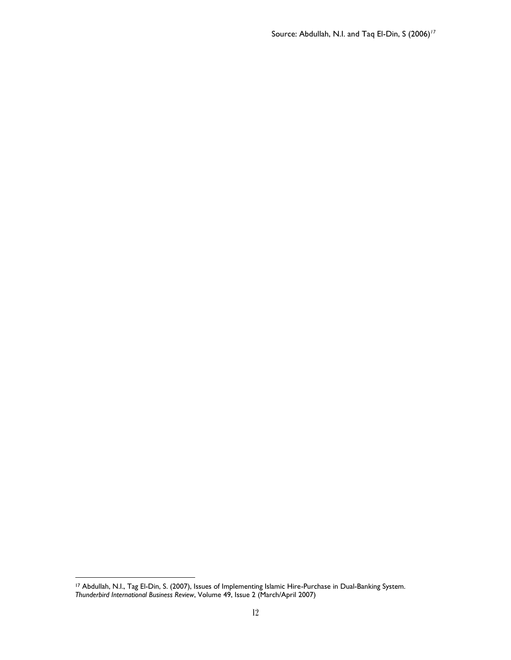Source: Abdullah, N.I. and Taq El-Din, S (2006)*<sup>17</sup>*

l

<sup>17</sup> Abdullah, N.I., Tag El-Din, S. (2007), Issues of Implementing Islamic Hire-Purchase in Dual-Banking System. *Thunderbird International Business Review*, Volume 49, Issue 2 (March/April 2007)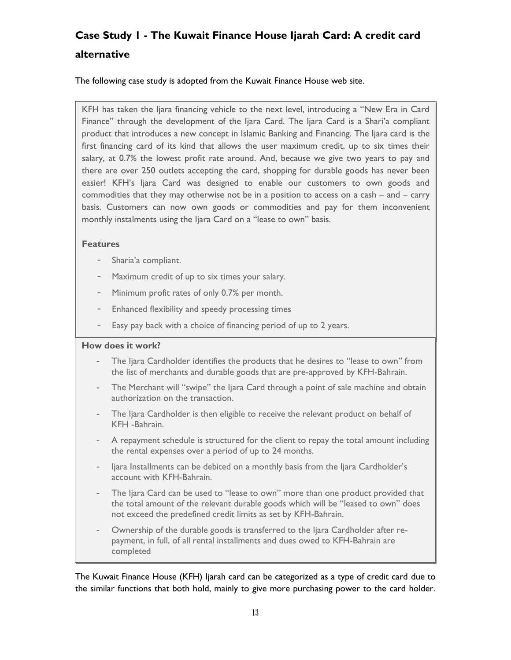# **Case Study 1 - The Kuwait Finance House Ijarah Card: A credit card alternative**

The following case study is adopted from the Kuwait Finance House web site.

KFH has taken the Ijara financing vehicle to the next level, introducing a "New Era in Card Finance" through the development of the Ijara Card. The Ijara Card is a Shari'a compliant product that introduces a new concept in Islamic Banking and Financing. The Ijara card is the first financing card of its kind that allows the user maximum credit, up to six times their salary, at 0.7% the lowest profit rate around. And, because we give two years to pay and there are over 250 outlets accepting the card, shopping for durable goods has never been easier! KFH's Ijara Card was designed to enable our customers to own goods and commodities that they may otherwise not be in a position to access on a cash – and – carry basis. Customers can now own goods or commodities and pay for them inconvenient monthly instalments using the Ijara Card on a "lease to own" basis.

#### **Features**

- Sharia'a compliant.
- Maximum credit of up to six times your salary.
- Minimum profit rates of only 0.7% per month.
- Enhanced flexibility and speedy processing times
- Easy pay back with a choice of financing period of up to 2 years.

#### **How does it work?**

- The Ijara Cardholder identifies the products that he desires to "lease to own" from the list of merchants and durable goods that are pre-approved by KFH-Bahrain.
- The Merchant will "swipe" the Ijara Card through a point of sale machine and obtain authorization on the transaction.
- The Ijara Cardholder is then eligible to receive the relevant product on behalf of KFH -Bahrain.
- A repayment schedule is structured for the client to repay the total amount including the rental expenses over a period of up to 24 months.
- Ijara Installments can be debited on a monthly basis from the Ijara Cardholder's account with KFH-Bahrain.
- The Ijara Card can be used to "lease to own" more than one product provided that the total amount of the relevant durable goods which will be "leased to own" does not exceed the predefined credit limits as set by KFH-Bahrain.
- Ownership of the durable goods is transferred to the Ijara Cardholder after repayment, in full, of all rental installments and dues owed to KFH-Bahrain are completed

The Kuwait Finance House (KFH) Ijarah card can be categorized as a type of credit card due to the similar functions that both hold, mainly to give more purchasing power to the card holder.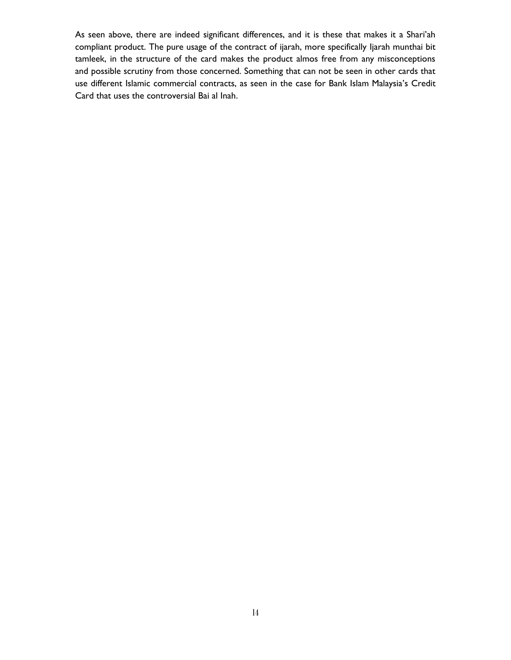As seen above, there are indeed significant differences, and it is these that makes it a Shari'ah compliant product. The pure usage of the contract of ijarah, more specifically Ijarah munthai bit tamleek, in the structure of the card makes the product almos free from any misconceptions and possible scrutiny from those concerned. Something that can not be seen in other cards that use different Islamic commercial contracts, as seen in the case for Bank Islam Malaysia's Credit Card that uses the controversial Bai al Inah.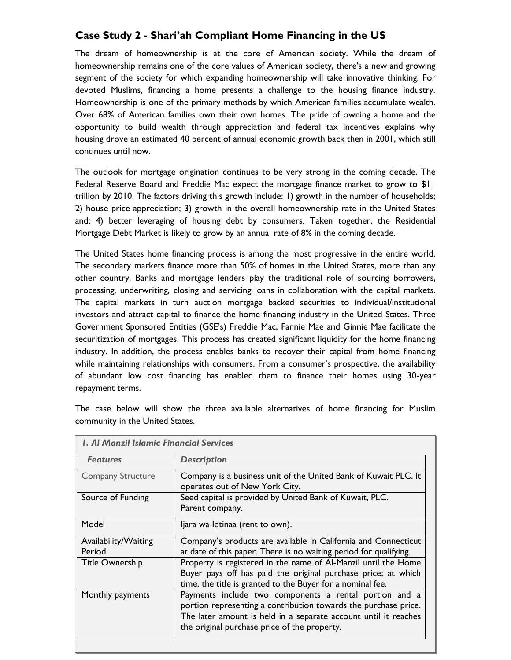## **Case Study 2 - Shari'ah Compliant Home Financing in the US**

The dream of homeownership is at the core of American society. While the dream of homeownership remains one of the core values of American society, there's a new and growing segment of the society for which expanding homeownership will take innovative thinking. For devoted Muslims, financing a home presents a challenge to the housing finance industry. Homeownership is one of the primary methods by which American families accumulate wealth. Over 68% of American families own their own homes. The pride of owning a home and the opportunity to build wealth through appreciation and federal tax incentives explains why housing drove an estimated 40 percent of annual economic growth back then in 2001, which still continues until now.

The outlook for mortgage origination continues to be very strong in the coming decade. The Federal Reserve Board and Freddie Mac expect the mortgage finance market to grow to \$11 trillion by 2010. The factors driving this growth include: 1) growth in the number of households; 2) house price appreciation; 3) growth in the overall homeownership rate in the United States and; 4) better leveraging of housing debt by consumers. Taken together, the Residential Mortgage Debt Market is likely to grow by an annual rate of 8% in the coming decade.

The United States home financing process is among the most progressive in the entire world. The secondary markets finance more than 50% of homes in the United States, more than any other country. Banks and mortgage lenders play the traditional role of sourcing borrowers, processing, underwriting, closing and servicing loans in collaboration with the capital markets. The capital markets in turn auction mortgage backed securities to individual/institutional investors and attract capital to finance the home financing industry in the United States. Three Government Sponsored Entities (GSE's) Freddie Mac, Fannie Mae and Ginnie Mae facilitate the securitization of mortgages. This process has created significant liquidity for the home financing industry. In addition, the process enables banks to recover their capital from home financing while maintaining relationships with consumers. From a consumer's prospective, the availability of abundant low cost financing has enabled them to finance their homes using 30-year repayment terms.

The case below will show the three available alternatives of home financing for Muslim community in the United States.

| <b>L. Al Manzil Islamic Financial Services</b> |                                                                                                                                                                                                                                              |
|------------------------------------------------|----------------------------------------------------------------------------------------------------------------------------------------------------------------------------------------------------------------------------------------------|
| <b>Features</b>                                | <b>Description</b>                                                                                                                                                                                                                           |
| <b>Company Structure</b>                       | Company is a business unit of the United Bank of Kuwait PLC. It<br>operates out of New York City.                                                                                                                                            |
| Source of Funding                              | Seed capital is provided by United Bank of Kuwait, PLC.<br>Parent company.                                                                                                                                                                   |
| Model                                          | ljara wa Iqtinaa (rent to own).                                                                                                                                                                                                              |
| Availability/Waiting                           | Company's products are available in California and Connecticut                                                                                                                                                                               |
| Period                                         | at date of this paper. There is no waiting period for qualifying.                                                                                                                                                                            |
| <b>Title Ownership</b>                         | Property is registered in the name of Al-Manzil until the Home<br>Buyer pays off has paid the original purchase price; at which<br>time, the title is granted to the Buyer for a nominal fee.                                                |
| Monthly payments                               | Payments include two components a rental portion and a<br>portion representing a contribution towards the purchase price.<br>The later amount is held in a separate account until it reaches<br>the original purchase price of the property. |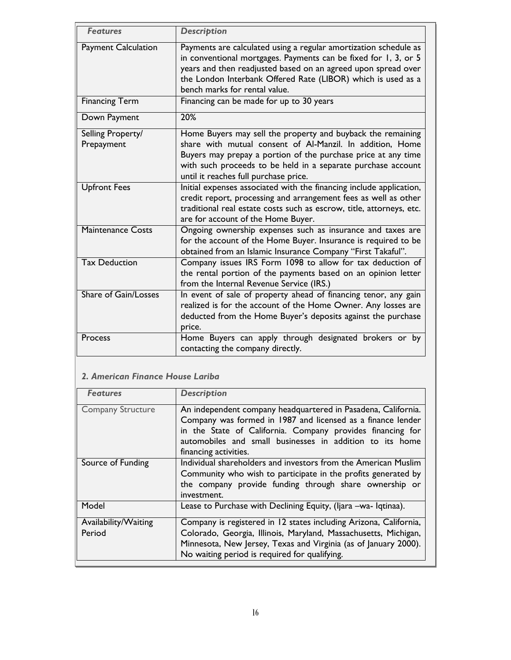| <b>Features</b>                 | <b>Description</b>                                                                                                                                                                                                                                                                                    |
|---------------------------------|-------------------------------------------------------------------------------------------------------------------------------------------------------------------------------------------------------------------------------------------------------------------------------------------------------|
| <b>Payment Calculation</b>      | Payments are calculated using a regular amortization schedule as<br>in conventional mortgages. Payments can be fixed for 1, 3, or 5<br>years and then readjusted based on an agreed upon spread over<br>the London Interbank Offered Rate (LIBOR) which is used as a<br>bench marks for rental value. |
| <b>Financing Term</b>           | Financing can be made for up to 30 years                                                                                                                                                                                                                                                              |
| Down Payment                    | 20%                                                                                                                                                                                                                                                                                                   |
| Selling Property/<br>Prepayment | Home Buyers may sell the property and buyback the remaining<br>share with mutual consent of Al-Manzil. In addition, Home<br>Buyers may prepay a portion of the purchase price at any time<br>with such proceeds to be held in a separate purchase account<br>until it reaches full purchase price.    |
| <b>Upfront Fees</b>             | Initial expenses associated with the financing include application,<br>credit report, processing and arrangement fees as well as other<br>traditional real estate costs such as escrow, title, attorneys, etc.<br>are for account of the Home Buyer.                                                  |
| <b>Maintenance Costs</b>        | Ongoing ownership expenses such as insurance and taxes are<br>for the account of the Home Buyer. Insurance is required to be<br>obtained from an Islamic Insurance Company "First Takaful".                                                                                                           |
| <b>Tax Deduction</b>            | Company issues IRS Form 1098 to allow for tax deduction of<br>the rental portion of the payments based on an opinion letter<br>from the Internal Revenue Service (IRS.)                                                                                                                               |
| <b>Share of Gain/Losses</b>     | In event of sale of property ahead of financing tenor, any gain<br>realized is for the account of the Home Owner. Any losses are<br>deducted from the Home Buyer's deposits against the purchase<br>price.                                                                                            |
| Process                         | Home Buyers can apply through designated brokers or by<br>contacting the company directly.                                                                                                                                                                                                            |

## *2. American Finance House Lariba*

| <b>Features</b>          | <b>Description</b>                                                |
|--------------------------|-------------------------------------------------------------------|
| <b>Company Structure</b> | An independent company headquartered in Pasadena, California.     |
|                          | Company was formed in 1987 and licensed as a finance lender       |
|                          | in the State of California. Company provides financing for        |
|                          | automobiles and small businesses in addition to its home          |
|                          | financing activities.                                             |
| Source of Funding        | Individual shareholders and investors from the American Muslim    |
|                          | Community who wish to participate in the profits generated by     |
|                          | the company provide funding through share ownership or            |
|                          | investment.                                                       |
| Model                    | Lease to Purchase with Declining Equity, (Ijara –wa- Iqtinaa).    |
| Availability/Waiting     | Company is registered in 12 states including Arizona, California, |
| Period                   | Colorado, Georgia, Illinois, Maryland, Massachusetts, Michigan,   |
|                          | Minnesota, New Jersey, Texas and Virginia (as of January 2000).   |
|                          | No waiting period is required for qualifying.                     |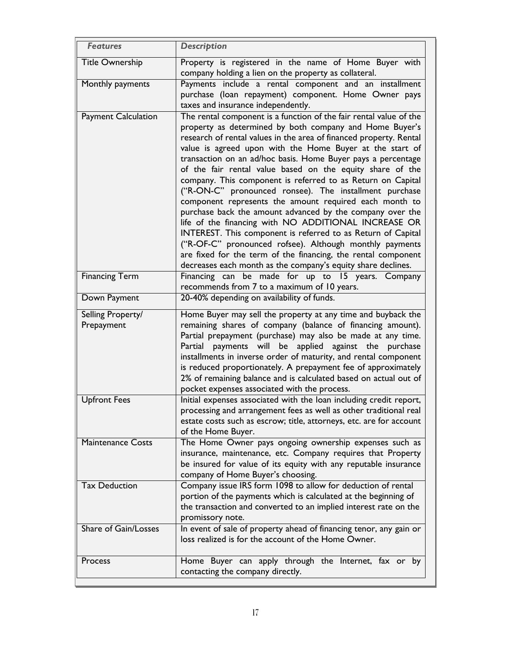| <b>Features</b>                 | <b>Description</b>                                                                                                                                                                                                                                                                                                                                                                                                                                                                                                                                                                                                                                                                                                                                                                                                                                                                                                                                               |
|---------------------------------|------------------------------------------------------------------------------------------------------------------------------------------------------------------------------------------------------------------------------------------------------------------------------------------------------------------------------------------------------------------------------------------------------------------------------------------------------------------------------------------------------------------------------------------------------------------------------------------------------------------------------------------------------------------------------------------------------------------------------------------------------------------------------------------------------------------------------------------------------------------------------------------------------------------------------------------------------------------|
| <b>Title Ownership</b>          | Property is registered in the name of Home Buyer with<br>company holding a lien on the property as collateral.                                                                                                                                                                                                                                                                                                                                                                                                                                                                                                                                                                                                                                                                                                                                                                                                                                                   |
| Monthly payments                | Payments include a rental component and an installment<br>purchase (loan repayment) component. Home Owner pays<br>taxes and insurance independently.                                                                                                                                                                                                                                                                                                                                                                                                                                                                                                                                                                                                                                                                                                                                                                                                             |
| <b>Payment Calculation</b>      | The rental component is a function of the fair rental value of the<br>property as determined by both company and Home Buyer's<br>research of rental values in the area of financed property. Rental<br>value is agreed upon with the Home Buyer at the start of<br>transaction on an ad/hoc basis. Home Buyer pays a percentage<br>of the fair rental value based on the equity share of the<br>company. This component is referred to as Return on Capital<br>("R-ON-C" pronounced ronsee). The installment purchase<br>component represents the amount required each month to<br>purchase back the amount advanced by the company over the<br>life of the financing with NO ADDITIONAL INCREASE OR<br>INTEREST. This component is referred to as Return of Capital<br>("R-OF-C" pronounced rofsee). Although monthly payments<br>are fixed for the term of the financing, the rental component<br>decreases each month as the company's equity share declines. |
| <b>Financing Term</b>           | Financing can be made for up to 15 years. Company<br>recommends from 7 to a maximum of 10 years.                                                                                                                                                                                                                                                                                                                                                                                                                                                                                                                                                                                                                                                                                                                                                                                                                                                                 |
| Down Payment                    | 20-40% depending on availability of funds.                                                                                                                                                                                                                                                                                                                                                                                                                                                                                                                                                                                                                                                                                                                                                                                                                                                                                                                       |
| Selling Property/<br>Prepayment | Home Buyer may sell the property at any time and buyback the<br>remaining shares of company (balance of financing amount).<br>Partial prepayment (purchase) may also be made at any time.<br>Partial payments will be applied against the purchase<br>installments in inverse order of maturity, and rental component<br>is reduced proportionately. A prepayment fee of approximately<br>2% of remaining balance and is calculated based on actual out of<br>pocket expenses associated with the process.                                                                                                                                                                                                                                                                                                                                                                                                                                                       |
| <b>Upfront Fees</b>             | Initial expenses associated with the loan including credit report,<br>processing and arrangement fees as well as other traditional real<br>estate costs such as escrow; title, attorneys, etc. are for account<br>of the Home Buyer.                                                                                                                                                                                                                                                                                                                                                                                                                                                                                                                                                                                                                                                                                                                             |
| Maintenance Costs               | The Home Owner pays ongoing ownership expenses such as<br>insurance, maintenance, etc. Company requires that Property<br>be insured for value of its equity with any reputable insurance<br>company of Home Buyer's choosing.                                                                                                                                                                                                                                                                                                                                                                                                                                                                                                                                                                                                                                                                                                                                    |
| <b>Tax Deduction</b>            | Company issue IRS form 1098 to allow for deduction of rental<br>portion of the payments which is calculated at the beginning of<br>the transaction and converted to an implied interest rate on the<br>promissory note.                                                                                                                                                                                                                                                                                                                                                                                                                                                                                                                                                                                                                                                                                                                                          |
| Share of Gain/Losses            | In event of sale of property ahead of financing tenor, any gain or<br>loss realized is for the account of the Home Owner.                                                                                                                                                                                                                                                                                                                                                                                                                                                                                                                                                                                                                                                                                                                                                                                                                                        |
| Process                         | Home Buyer can apply through the Internet, fax or by<br>contacting the company directly.                                                                                                                                                                                                                                                                                                                                                                                                                                                                                                                                                                                                                                                                                                                                                                                                                                                                         |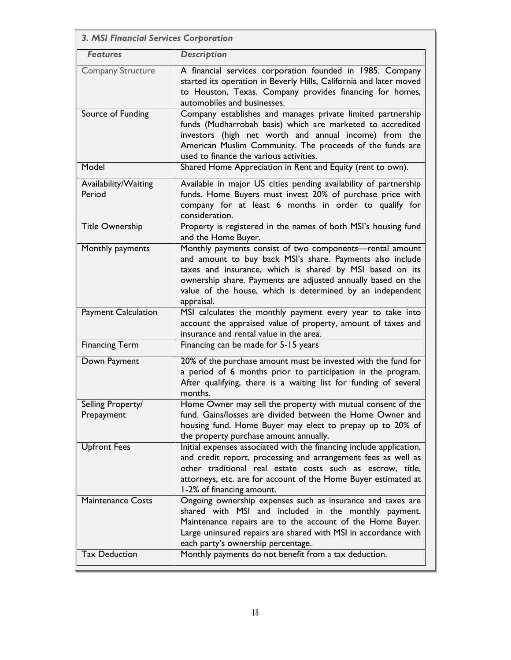| 3. MSI Financial Services Corporation |                                                                                                                                                                                                                                                                                                                              |
|---------------------------------------|------------------------------------------------------------------------------------------------------------------------------------------------------------------------------------------------------------------------------------------------------------------------------------------------------------------------------|
| <b>Features</b>                       | <b>Description</b>                                                                                                                                                                                                                                                                                                           |
| <b>Company Structure</b>              | A financial services corporation founded in 1985. Company<br>started its operation in Beverly Hills, California and later moved<br>to Houston, Texas. Company provides financing for homes,<br>automobiles and businesses.                                                                                                   |
| Source of Funding                     | Company establishes and manages private limited partnership<br>funds (Mudharrobah basis) which are marketed to accredited<br>investors (high net worth and annual income) from the<br>American Muslim Community. The proceeds of the funds are<br>used to finance the various activities.                                    |
| Model                                 | Shared Home Appreciation in Rent and Equity (rent to own).                                                                                                                                                                                                                                                                   |
| Availability/Waiting<br>Period        | Available in major US cities pending availability of partnership<br>funds. Home Buyers must invest 20% of purchase price with<br>company for at least 6 months in order to qualify for<br>consideration.                                                                                                                     |
| <b>Title Ownership</b>                | Property is registered in the names of both MSI's housing fund<br>and the Home Buyer.                                                                                                                                                                                                                                        |
| Monthly payments                      | Monthly payments consist of two components-rental amount<br>and amount to buy back MSI's share. Payments also include<br>taxes and insurance, which is shared by MSI based on its<br>ownership share. Payments are adjusted annually based on the<br>value of the house, which is determined by an independent<br>appraisal. |
| <b>Payment Calculation</b>            | MSI calculates the monthly payment every year to take into<br>account the appraised value of property, amount of taxes and<br>insurance and rental value in the area.                                                                                                                                                        |
| <b>Financing Term</b>                 | Financing can be made for 5-15 years                                                                                                                                                                                                                                                                                         |
| Down Payment                          | 20% of the purchase amount must be invested with the fund for<br>a period of 6 months prior to participation in the program.<br>After qualifying, there is a waiting list for funding of several<br>months.                                                                                                                  |
| Selling Property/<br>Prepayment       | Home Owner may sell the property with mutual consent of the<br>fund. Gains/losses are divided between the Home Owner and<br>housing fund. Home Buyer may elect to prepay up to 20% of<br>the property purchase amount annually.                                                                                              |
| <b>Upfront Fees</b>                   | Initial expenses associated with the financing include application,<br>and credit report, processing and arrangement fees as well as<br>other traditional real estate costs such as escrow, title,<br>attorneys, etc. are for account of the Home Buyer estimated at<br>1-2% of financing amount.                            |
| <b>Maintenance Costs</b>              | Ongoing ownership expenses such as insurance and taxes are<br>shared with MSI and included in the monthly payment.<br>Maintenance repairs are to the account of the Home Buyer.<br>Large uninsured repairs are shared with MSI in accordance with<br>each party's ownership percentage.                                      |
| <b>Tax Deduction</b>                  | Monthly payments do not benefit from a tax deduction.                                                                                                                                                                                                                                                                        |